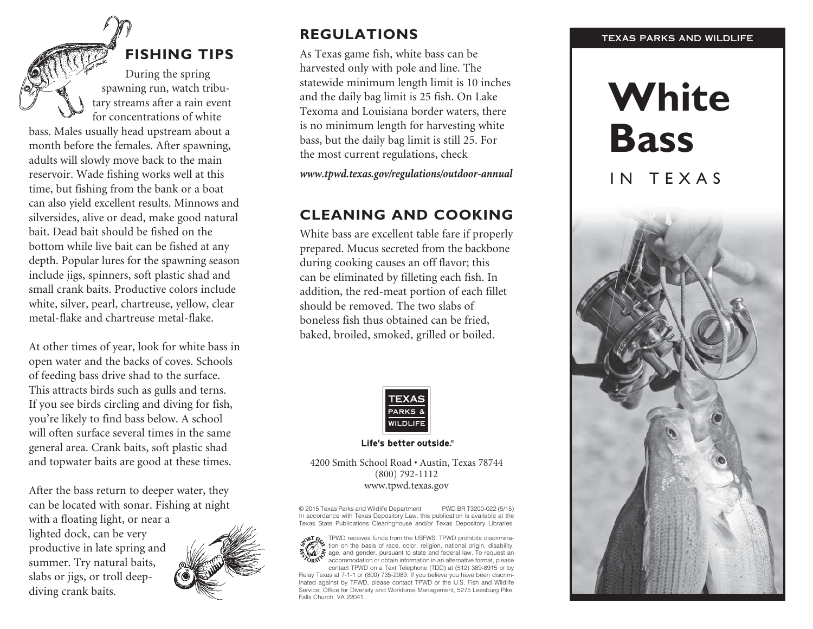## **Fishing Tips**

During the spring spawning run, watch tribu tary streams after a rain event for concentrations of white bass. Males usually head upstream about a month before the females. After spawning, adults will slowly move back to the main reservoir. Wade fishing works well at this time, but fishing from the bank or a boat can also yield excellent results. Minnows and silversides, alive or dead, make good natural bait. Dead bait should be fished on the bottom while live bait can be fished at any depth. Popular lures for the spawning season include jigs, spinners, soft plastic shad and small crank baits. Productive colors include white, silver, pearl, chartreuse, yellow, clear metal-flake and chartreuse metal-flake.

At other times of year, look for white bass in open water and the backs of coves. Schools of feeding bass drive shad to the surface. This attracts birds such as gulls and terns. If you see birds circling and diving for fish, you're likely to find bass below. A school will often surface several times in the same general area. Crank baits, soft plastic shad and topwater baits are good at these times.

After the bass return to deeper water, they can be located with sonar. Fishing at night with a floating light, or near a

lighted dock, can be very productive in late spring and summer. Try natural baits, slabs or jigs, or troll deepdiving crank baits.



### **regulations**

As Texas game fish, white bass can be harvested only with pole and line. The statewide minimum length limit is 10 inches and the daily bag limit is 25 fish. On Lake Texoma and Louisiana border waters, there is no minimum length for harvesting white bass, but the daily bag limit is still 25. For the most current regulations, check

*www.tpwd.texas.gov/regulations/outdoor-annual*

## **Cleaning and Cooking**

White bass are excellent table fare if properly prepared. Mucus secreted from the backbone during cooking causes an off flavor; this can be eliminated by filleting each fish. In addition, the red-meat portion of each fillet should be removed. The two slabs of boneless fish thus obtained can be fried, baked, broiled, smoked, grilled or boiled.



### Life's better outside.®

### 4200 Smith School Road • Austin, Texas 78744 (800) 792-1112 www.tpwd.texas.gov

© 2015 Texas Parks and Wildlife Department PWD BR T3200-022 (5/15) In accordance with Texas Depository Law, this publication is available at the Texas State Publications Clearinghouse and/or Texas Depository Libraries.

TPWD receives funds from the USFWS. TPWD prohibits discrimina tion on the basis of race, color, religion, national origin, disability, age, and gender, pursuant to state and federal law. To request an accommodation or obtain information in an alternative format, please

contact TPWD on a Text Telephone (TDD) at (512) 389-8915 or by Relay Texas at 7-1-1 or (800) 735-2989. If you believe you have been discrim inated against by TPWD, please contact TPWD or the U.S. Fish and Wildlife Service, Office for Diversity and Workforce Management, 5275 Leesburg Pike, Falls Church, VA 22041.

### TEXAS PARKS AND WILDLIFE

# **White Bass**

## IN TEXAS